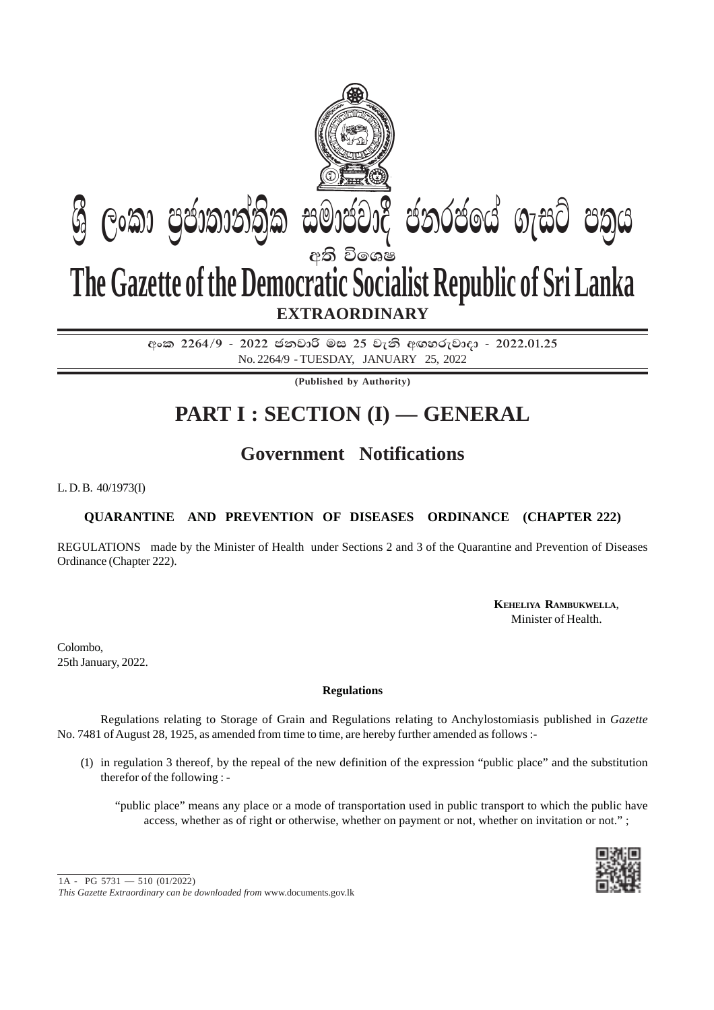

අංක 2264/9 - 2022 ජනවාරි මස 25 වැනි අඟහරුවාදා - 2022.01.25 No. 2264/9 - TUESDAY, JANUARY 25, 2022

**(Published by Authority)**

# **PART I : SECTION (I) — GENERAL**

# **Government Notifications**

L. D. B. 40/1973(I)

## **QUARANTINE AND PREVENTION OF DISEASES ORDINANCE (CHAPTER 222)**

REGULATIONS made by the Minister of Health under Sections 2 and 3 of the Quarantine and Prevention of Diseases Ordinance (Chapter 222).

> **KEHELIYA RAMBUKWELLA**, Minister of Health.

Colombo, 25th January, 2022.

### **Regulations**

Regulations relating to Storage of Grain and Regulations relating to Anchylostomiasis published in *Gazette* No. 7481 of August 28, 1925, as amended from time to time, are hereby further amended as follows :-

(1) in regulation 3 thereof, by the repeal of the new definition of the expression "public place" and the substitution therefor of the following : -

"public place" means any place or a mode of transportation used in public transport to which the public have access, whether as of right or otherwise, whether on payment or not, whether on invitation or not." ;



*This Gazette Extraordinary can be downloaded from* www.documents.gov.lk 1A - PG 5731 — 510 (01/2022)